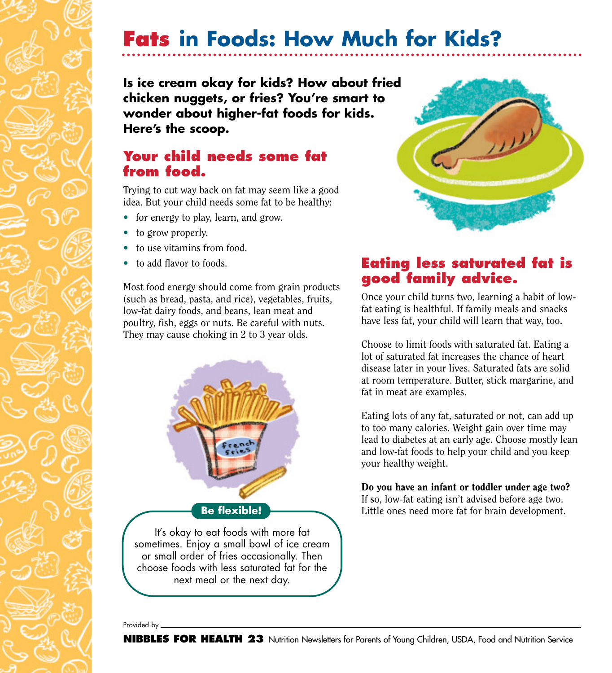# **Fats in Foods: How Much for Kids?**

**Is ice cream okay for kids? How about fried chicken nuggets, or fries? You're smart to wonder about higher-fat foods for kids. Here's the scoop.**

### **Your child needs some fat from food.**

Trying to cut way back on fat may seem like a good idea. But your child needs some fat to be healthy:

- for energy to play, learn, and grow.
- to grow properly.
- to use vitamins from food.
- to add flavor to foods.

Most food energy should come from grain products (such as bread, pasta, and rice), vegetables, fruits, low-fat dairy foods, and beans, lean meat and poultry, fish, eggs or nuts. Be careful with nuts. They may cause choking in 2 to 3 year olds.





### **Eating less saturated fat is good family advice.**

Once your child turns two, learning a habit of lowfat eating is healthful. If family meals and snacks have less fat, your child will learn that way, too.

Choose to limit foods with saturated fat. Eating a lot of saturated fat increases the chance of heart disease later in your lives. Saturated fats are solid at room temperature. Butter, stick margarine, and fat in meat are examples.

Eating lots of any fat, saturated or not, can add up to too many calories. Weight gain over time may lead to diabetes at an early age. Choose mostly lean and low-fat foods to help your child and you keep your healthy weight.

Do you have an infant or toddler under age two? If so, low-fat eating isn't advised before age two. Little ones need more fat for brain development.

Provided by